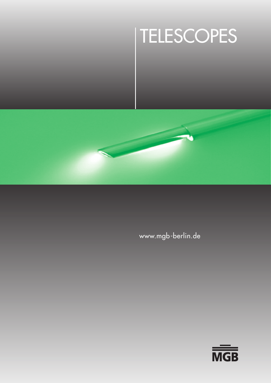### TELESCOPES



www.mgb-berlin.de

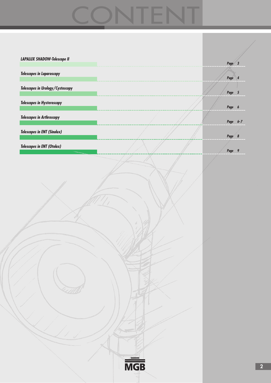# CONTENT

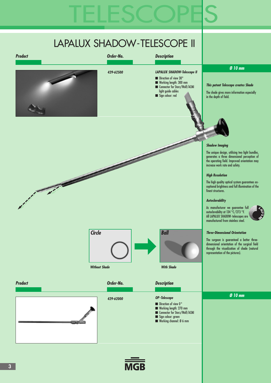### TELESCOPE<mark>S</mark> TELESCOPES

### LAPALUX SHADOW-TELESCOPE II

**b b b b b b b b** 

### **455-30300 Product Order-No. Product Description**

### **Guide rod 429-62500 LAPALUX SHADOW-Telescope II**

■ Direction of view 30° ■ Working length: 300 mm

> **Hook probe ■** Hook length: 3.5 mm

- **■** Connector for Storz/Wolf/ACMI light guide cables
- **■** Sign colour: red

### **Ø 10 mm**

### **This patent Telescope creates Shade**

The shade gives more information especially in the depth of field.



### **Shadow Imaging**

The unique design, utilising two light bundles, generates a three dimensional perception of the operating field. Improved orientation may increase work rate and safety.

### **High Resolution**

The high quality optical system guarantees exceptional brightness and full illumination of the finest structures.

### **Autoclavability**

As manufacturer we guarantee full autoclavability at 134 °C /273 °F. All LAPALUX SHADOW-telescopes are manufactured from stainless steel.



### **Circle Ball Three-Dimensional Orientation**

The surgeon is guaranteed a better threedimensional orientation of the surgical field through the visualization of shade (natural representation of the pictures).



**Ø 10 mm**





**Without Shade With Shade**

**Product Order-No. Description**

**429-62000 OP-Telescope** 

■ Direction of view 0° ■ Working length: 270 mm **■** Connector for Storz/Wolf/ACMI **■** Sign colour: green ■ Working channel: Ø 6 mm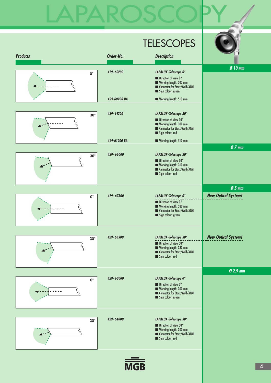### **TELESCOPES** LAPAROSCOPY

|                 |                      |              | . ____<br>$\sim$<br>∽                                                                                                                                                 |                            |
|-----------------|----------------------|--------------|-----------------------------------------------------------------------------------------------------------------------------------------------------------------------|----------------------------|
| <b>Products</b> |                      | Order-No.    | <b>Description</b>                                                                                                                                                    |                            |
|                 | $0^{\circ}$          | 429-60200    | LAPALUX-Telescope 0°<br>$\blacksquare$ Direction of view 0°<br>Working length: 300 mm<br>Connector for Storz/Wolf/ACMI<br>Sign colour: green                          | Ø 10 mm                    |
|                 |                      | 429-60200 BA | Working length: 510 mm                                                                                                                                                |                            |
|                 | $30^\circ$           | 429-61200    | LAPALUX-Telescope 30°<br>$\blacksquare$ Direction of view 30 $^{\circ}$<br>Working length: 300 mm<br>Connector for Storz/Wolf/ACMI<br>$\blacksquare$ Sign colour: red |                            |
|                 |                      | 429-61200 BA | Working length: 510 mm                                                                                                                                                |                            |
|                 | $30^\circ$           | 429-66000    | LAPALUX-Telescope 30°<br>$\blacksquare$ Direction of view 30 $^{\circ}$<br>Working length: 310 mm<br>Connector for Storz/Wolf/ACMI<br>Sign colour: red                | $QZ$ <sub>mm</sub>         |
|                 |                      |              |                                                                                                                                                                       | $Q$ 5 mm                   |
|                 | $\mathbf{0}^{\circ}$ | 429-67300    | LAPALUX-Telescope 0°<br>$\blacksquare$ Direction of view 0°<br>Working length: 330 mm<br>Connector for Storz/Wolf/ACMI<br>Sign colour: green                          | <b>New Optical System!</b> |
|                 |                      |              |                                                                                                                                                                       |                            |
|                 | $30^\circ$           | 429-68300    | LAPALUX-Telescope 30°<br>$\blacksquare$ Direction of view 30 $^{\circ}$<br>Working length: 330 mm<br>Connector for Storz/Wolf/ACMI<br>Sign colour: red                | <b>New Optical System!</b> |
|                 |                      |              |                                                                                                                                                                       | Ø 2.9 mm                   |
|                 | $0^{\circ}$          | 429-63000    | LAPALUX-Telescope 0°<br>$\blacksquare$ Direction of view 0°<br>Working length: 300 mm<br>Connector for Storz/Wolf/ACMI<br>Sign colour: green                          |                            |
|                 |                      |              |                                                                                                                                                                       |                            |
|                 | $30^\circ$           | 429-64000    | LAPALUX-Telescope 30°<br>$\blacksquare$ Direction of view 30 $^{\circ}$<br>Working length: 300 mm<br>Connector for Storz/Wolf/ACMI<br>Sign colour: red                |                            |
|                 |                      |              |                                                                                                                                                                       |                            |

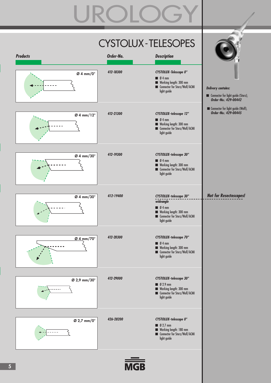# UROLOGY

Z

|                        |                                    | CYSTOLUX - TELESOPES                                                                                                                             |                                                                                         |
|------------------------|------------------------------------|--------------------------------------------------------------------------------------------------------------------------------------------------|-----------------------------------------------------------------------------------------|
| <b>Products</b>        | Order-No.                          | <b>Description</b>                                                                                                                               |                                                                                         |
| $Ø4$ mm/0°             | 412-18300                          | <b>CYSTOLUX-Telescope 0°</b><br>$\blacksquare$ 04 mm<br>Working length: 300 mm<br>Connector for Storz/Wolf/ACMI<br>light guide                   | <b>Delivery contains:</b><br>Connector for light guide (Storz),<br>Order-No.: 429-00442 |
| $Ø$ 4 mm/12 $^{\circ}$ | 412-21300                          | CYSTOLUX-telescope 12°<br>$\blacksquare$ 04 mm<br>Working length: 300 mm<br>Connector for Storz/Wolf/ACMI<br>light guide                         | Connector for light guide (Wolf),<br>Order-No.: 429-00445                               |
| $Ø4$ mm/30 $^{\circ}$  | 412-19300                          | CYSTOLUX-telescope 30°<br>$\blacksquare$ 04 mm<br>Working length: 300 mm<br>Connector for Storz/Wolf/ACMI<br>light guide                         |                                                                                         |
| $Ø$ 4 mm/30 $^{\circ}$ | 412-19400                          | CYSTOLUX-telescope 30°<br>wideangle<br>$\blacksquare$ $\emptyset$ 4 mm<br>Working length: 300 mm<br>Connector for Storz/Wolf/ACMI<br>light guide | <b>Not for Resectoscopes!</b>                                                           |
| Ø 4 mm/70°             | 412-20300                          | CYSTOLUX-telescope 70°<br>$\blacksquare$ 04 mm<br>Working length: 300 mm<br>Connector for Storz/Wolf/ACMI<br>light guide                         |                                                                                         |
| Ø 2,9 mm/30°           | 412-29000                          | CYSTOLUX-telescope 30°<br>$\blacksquare$ $\emptyset$ 2.9 mm<br>Working length: 300 mm<br>Connector for Storz/Wolf/ACMI<br>light guide            |                                                                                         |
| Ø 2,7 mm/0°            | 426-28200                          | CYSTOLUX-telescope 0°<br>$\blacksquare$ Ø 2.7 mm<br>Working length: 180 mm<br>Connector for Storz/Wolf/ACMI<br>light guide                       |                                                                                         |
|                        | $\overline{\overline{\text{MGB}}}$ |                                                                                                                                                  |                                                                                         |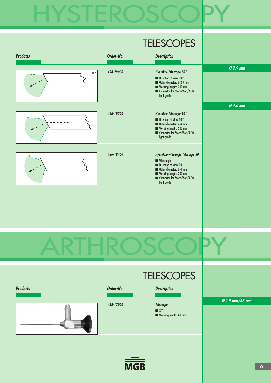# HYSTEROSCOPY

| <b>Products</b> | Order-No. | <b>TELESCOPES</b><br><b>Description</b>                                                                                                                                                      |                |
|-----------------|-----------|----------------------------------------------------------------------------------------------------------------------------------------------------------------------------------------------|----------------|
|                 |           |                                                                                                                                                                                              |                |
| $30\,^{\circ}$  | 426-29000 | Hystolux-Telescope 30°<br>$\blacksquare$ Direction of view 30 $^{\circ}$<br>Outer-diameter: Ø 2.9 mm<br>Working length: 300 mm<br>Connector for Storz/Wolf/ACMI<br>light guide               | Ø 2.9 mm       |
|                 |           |                                                                                                                                                                                              | Ø 4.0 mm       |
|                 | 426-19300 | Hystolux-Telescope 30°<br>$\blacksquare$ Direction of view 30 $^{\circ}$<br>Outer-diameter: Ø 4 mm<br>Working length: 300 mm<br>■ Connector for Storz/Wolf/ACMI<br>light guide               |                |
|                 | 426-19400 | Hystolux-wideangle Telescope 30°<br>Wideangle<br>$\blacksquare$ Direction of view 30 °<br>Outer-diameter: Ø 4 mm<br>Working length: 300 mm<br>■ Connector for Storz/Wolf/ACMI<br>light guide |                |
|                 |           |                                                                                                                                                                                              |                |
|                 |           |                                                                                                                                                                                              |                |
|                 |           | <b>TELESCOPES</b>                                                                                                                                                                            |                |
| <b>Products</b> | Order-No. | <b>Description</b>                                                                                                                                                                           |                |
|                 |           |                                                                                                                                                                                              | 0 1.9 mm/68 mm |
|                 | 455-12000 | <b>Telescope</b><br>$\blacksquare$ 30°<br>Working length: 68 mm                                                                                                                              |                |
|                 |           |                                                                                                                                                                                              |                |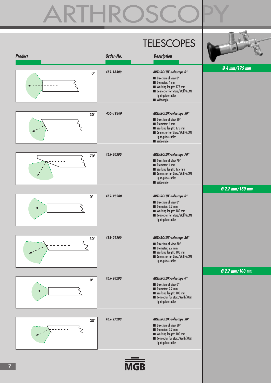# ARTHROSCO

|                      |            | <b>TELESCOPES</b>                                                                                                                                                                      |                 |
|----------------------|------------|----------------------------------------------------------------------------------------------------------------------------------------------------------------------------------------|-----------------|
| <b>Product</b>       | Order-No.  | <b>Description</b>                                                                                                                                                                     |                 |
| $0^{\circ}$          | 455-18300  | ARTHROLUX-telescope 0°<br>$\blacksquare$ Direction of view 0°<br>Diameter: 4 mm<br>Working length: 175 mm<br>Connector for Storz/Wolf/ACMI<br>light guide cables<br><b>Wideangle</b>   | 0 4 mm/175 mm   |
| $30^\circ$           | 455-19300  | ARTHROLUX-telescope 30°<br>$\blacksquare$ Direction of view 30°<br>Diameter: 4 mm<br>Working length: 175 mm<br>Connector for Storz/Wolf/ACMI<br>light guide cables<br><b>Wideangle</b> |                 |
| $70^{\circ}$         | 455-20300  | ARTHROLUX-telescope 70°<br>$\blacksquare$ Direction of view 70°<br>Diameter: 4 mm<br>Working length: 175 mm<br>Connector for Storz/Wolf/ACMI<br>light guide cables<br><b>Wideangle</b> |                 |
| $\mathbf{0}^{\circ}$ | 455-28200  | ARTHROLUX-telescope 0°                                                                                                                                                                 | 0 2.7 mm/180 mm |
|                      |            | $\blacksquare$ Direction of view 0°<br>Diameter: 2.7 mm<br>Working length: 180 mm<br>Connector for Storz/Wolf/ACMI<br>light guide cables                                               |                 |
| $30^\circ$           | 455-29200  | ARTHROLUX-telescope 30°<br>$\blacksquare$ Direction of view 30°<br>Diameter: 2.7 mm<br>Working length: 180 mm<br>Connector for Storz/Wolf/ACMI<br>light guide cables                   |                 |
|                      |            |                                                                                                                                                                                        | 0 2.7 mm/100 mm |
| $0^{\circ}$          | 455-26200  | ARTHROLUX-telescope 0°<br>$\blacksquare$ Direction of view 0°<br>Diameter: 2.7 mm<br>Working length: 100 mm<br>Connector for Storz/Wolf/ACMI<br>light guide cables                     |                 |
|                      | 455-27200  | ARTHROLUX-telescope 30°                                                                                                                                                                |                 |
| $30^\circ$           |            | $\blacksquare$ Direction of view 30°<br>Diameter: 2.7 mm<br>Working length: 100 mm<br>Connector for Storz/Wolf/ACMI<br>light guide cables                                              |                 |
|                      | <b>MGB</b> |                                                                                                                                                                                        |                 |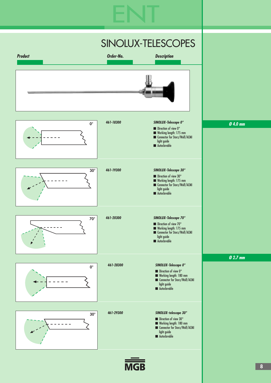# ENT



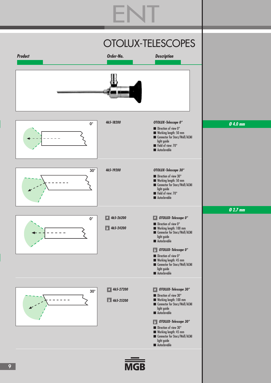## ENT